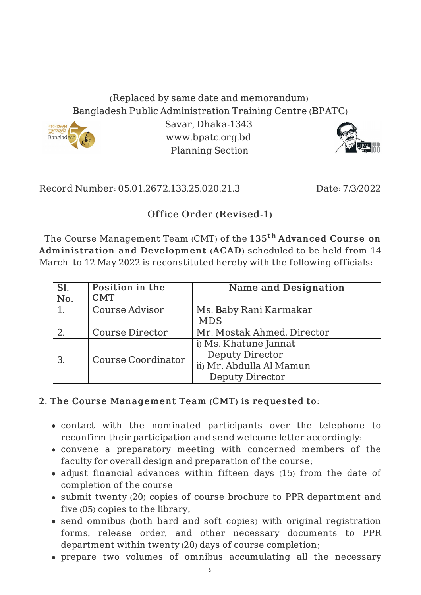## (Replaced by same date and memorandum) Bangladesh Public Administration Training Centre (BPATC)



Savar, Dhaka-1343 www.bpatc.org.bd Planning Section



Record Number: 05.01.2672.133.25.020.21.3 Date: 7/3/2022

## Office Order (Revised-1)

The Course Management Team (CMT) of the  $\mathtt{135^{t}}^{\mathtt{h}}$   $\mathtt{Advanced~Course~on}$ Adminis tration and Development (ACAD) scheduled to be held from 14 March to 12 May 2022 is reconstituted hereby with the following officials:

| Sl.<br>No. | Position in the<br><b>CMT</b> | <b>Name and Designation</b>                                                                           |
|------------|-------------------------------|-------------------------------------------------------------------------------------------------------|
|            | <b>Course Advisor</b>         | Ms. Baby Rani Karmakar<br><b>MDS</b>                                                                  |
|            | <b>Course Director</b>        | Mr. Mostak Ahmed, Director                                                                            |
| 3          | <b>Course Coordinator</b>     | i) Ms. Khatune Jannat<br><b>Deputy Director</b><br>ii) Mr. Abdulla Al Mamun<br><b>Deputy Director</b> |

## 2. The Course Management Team (CMT) is requested to:

- contact with the nominated participants over the telephone to reconfirm their participation and send welcome letter accordingly;
- convene a preparatory meeting with concerned members of the faculty for overall design and preparation of the course;
- adjust financial advances within fifteen days (15) from the date of completion of the course
- submit twenty (20) copies of course brochure to PPR department and five (05) copies to the library;
- send omnibus (both hard and soft copies) with original registration forms, release order, and other necessary documents to PPR department within twenty (20) days of course completion;
- prepare two volumes of omnibus accumulating all the necessary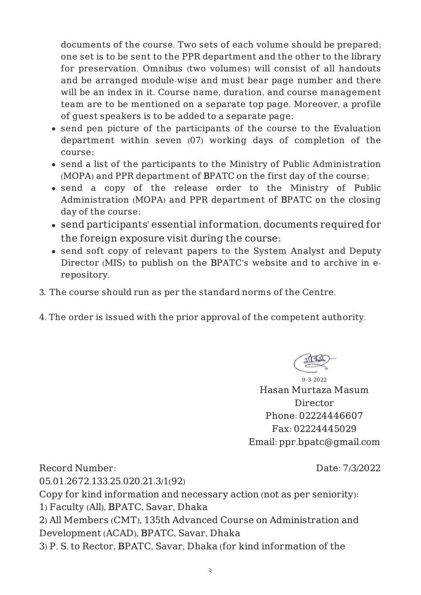documents of the course. Two sets of each volume should be prepared; one set is to be sent to the PPR department and the other to the library for preservation. Omnibus (two volumes) will consist of all handouts and be arranged module-wise and must bear page number and there will be an index in it. Course name, duration, and course management team are to be mentioned on a separate top page. Moreover, a profile of guest speakers is to be added to a separate page;

- send pen picture of the participants of the course to the Evaluation department within seven (07) working days of completion of the course;
- send a list of the participants to the Ministry of Public Administration (MOPA) and PPR department of BPATC on the first day of the course;
- send a copy of the release order to the Ministry of Public Administration (MOPA) and PPR department of BPATC on the closing day of the course;
- send participants' essential information, documents required for the foreign exposure visit during the course;
- send soft copy of relevant papers to the System Analyst and Deputy Director (MIS) to publish on the BPATC's website and to archive in erepository.
- 3. The course should run as per the standard norms of the Centre.
- 4. The order is issued with the prior approval of the competent authority.

9-3-2022 Hasan Murtaza Masum Director Phone: 02224446607 Fax: 02224445029 Email: ppr.bpatc@gmail.com

Record Number: 05.01.2672.133.25.020.21.3/1(92) Date: 7/3/2022 Copy for kind information and necessary action (not as per seniority): 1) Faculty (All), BPATC, Savar, Dhaka 2) All Members (CMT), 135th Advanced Course on Administration and Development (ACAD), BPATC, Savar, Dhaka 3) P. S. to Rector, BPATC, Savar, Dhaka (for kind information of the